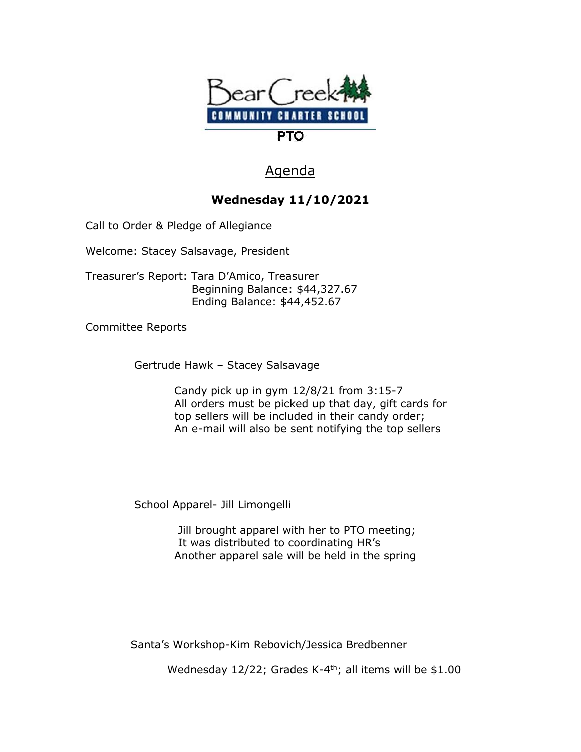

## Agenda

## **Wednesday 11/10/2021**

Call to Order & Pledge of Allegiance

Welcome: Stacey Salsavage, President

Treasurer's Report: Tara D'Amico, Treasurer Beginning Balance: \$44,327.67 Ending Balance: \$44,452.67

Committee Reports

Gertrude Hawk – Stacey Salsavage

 Candy pick up in gym 12/8/21 from 3:15-7 All orders must be picked up that day, gift cards for top sellers will be included in their candy order; An e-mail will also be sent notifying the top sellers

School Apparel- Jill Limongelli

 Jill brought apparel with her to PTO meeting; It was distributed to coordinating HR's Another apparel sale will be held in the spring

Santa's Workshop-Kim Rebovich/Jessica Bredbenner

Wednesday 12/22; Grades K-4<sup>th</sup>; all items will be \$1.00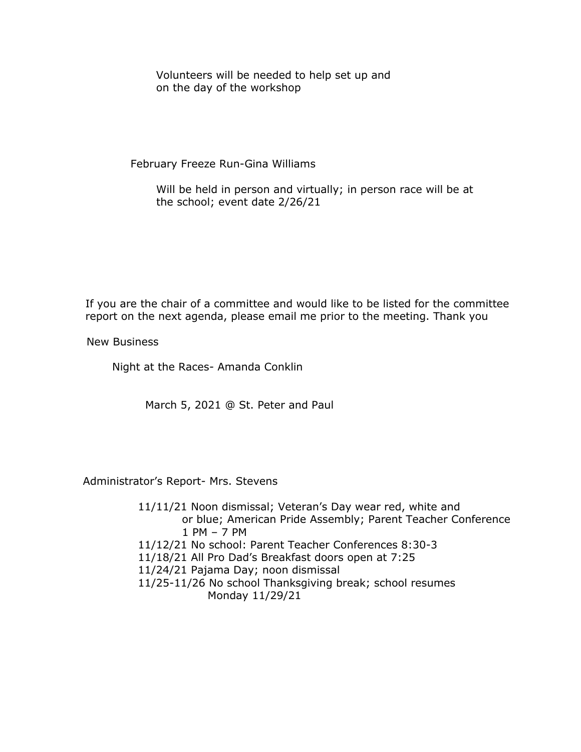Volunteers will be needed to help set up and on the day of the workshop

February Freeze Run-Gina Williams

 Will be held in person and virtually; in person race will be at the school; event date 2/26/21

If you are the chair of a committee and would like to be listed for the committee report on the next agenda, please email me prior to the meeting. Thank you

New Business

Night at the Races- Amanda Conklin

March 5, 2021 @ St. Peter and Paul

Administrator's Report- Mrs. Stevens

 11/11/21 Noon dismissal; Veteran's Day wear red, white and or blue; American Pride Assembly; Parent Teacher Conference 1 PM – 7 PM 11/12/21 No school: Parent Teacher Conferences 8:30-3 11/18/21 All Pro Dad's Breakfast doors open at 7:25 11/24/21 Pajama Day; noon dismissal 11/25-11/26 No school Thanksgiving break; school resumes Monday 11/29/21